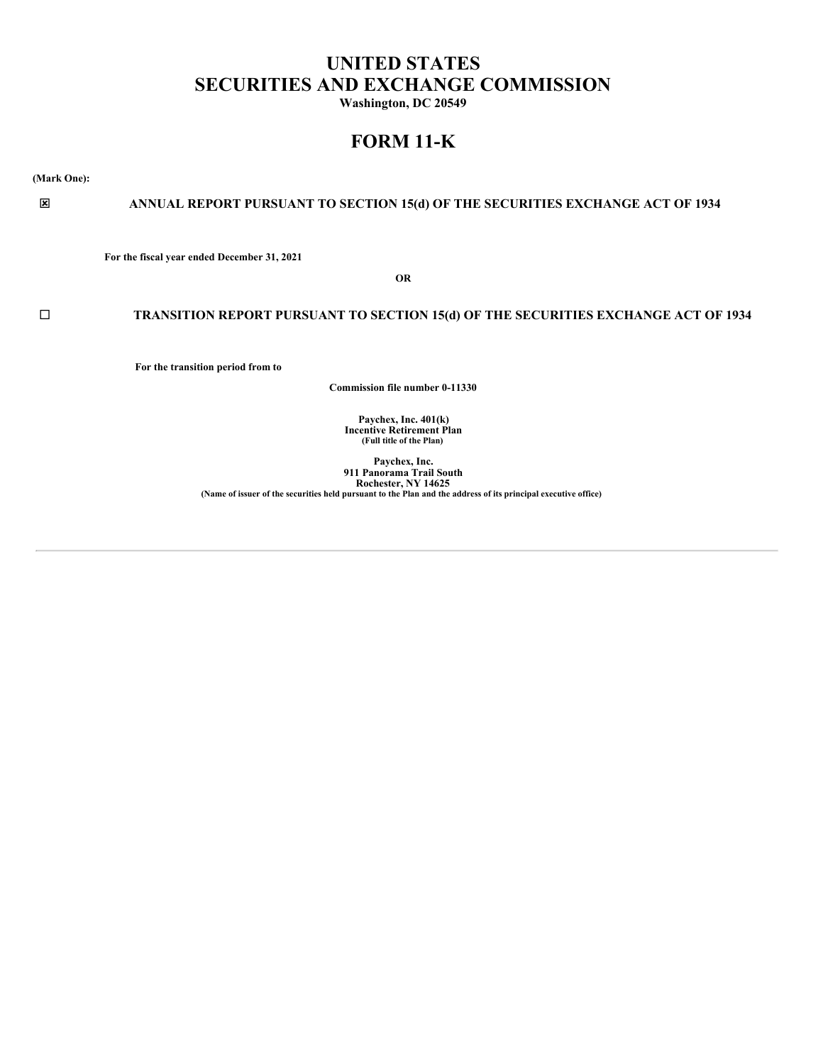# **UNITED STATES SECURITIES AND EXCHANGE COMMISSION**

**Washington, DC 20549**

# **FORM 11-K**

**(Mark One):** ý **ANNUAL REPORT PURSUANT TO SECTION 15(d) OF THE SECURITIES EXCHANGE ACT OF 1934 For the fiscal year ended December 31, 2021 OR** ¨ **TRANSITION REPORT PURSUANT TO SECTION 15(d) OF THE SECURITIES EXCHANGE ACT OF 1934**

**For the transition period from to**

**Commission file number 0-11330**

**Paychex, Inc. 401(k) Incentive Retirement Plan (Full title of the Plan)**

**Paychex, Inc. 911 Panorama Trail South**  $\begin{array}{c} \textbf{Rochester, NY 14625} \end{array}$  (Name of issuer of the securities held pursuant to the Plan and the address of its principal executive office)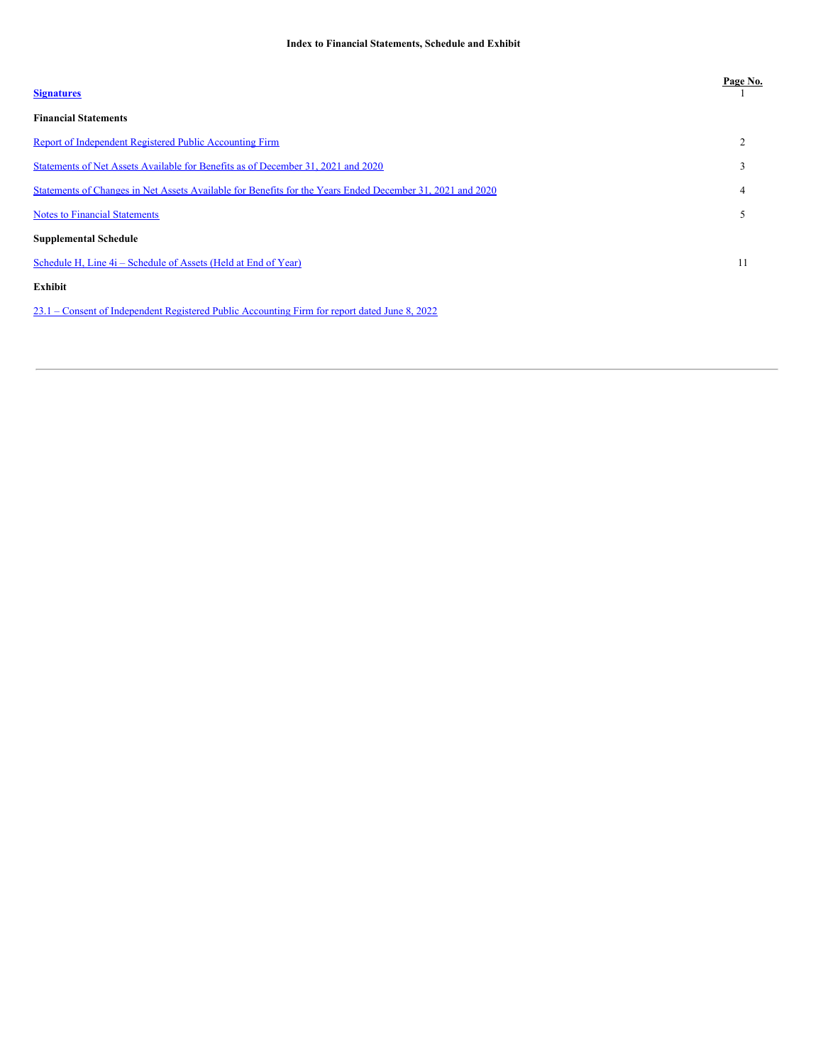| <b>Signatures</b>                                                                                         | Page No. |
|-----------------------------------------------------------------------------------------------------------|----------|
| <b>Financial Statements</b>                                                                               |          |
| Report of Independent Registered Public Accounting Firm                                                   | 2        |
| Statements of Net Assets Available for Benefits as of December 31, 2021 and 2020                          | 3        |
| Statements of Changes in Net Assets Available for Benefits for the Years Ended December 31, 2021 and 2020 | 4        |
| <b>Notes to Financial Statements</b>                                                                      | 5        |
| <b>Supplemental Schedule</b>                                                                              |          |
| Schedule H, Line 4i – Schedule of Assets (Held at End of Year)                                            | 11       |
| <b>Exhibit</b>                                                                                            |          |

23.1 – Consent of [Independent](#page-14-0) Registered Public Accounting Firm for report dated June 8, 2022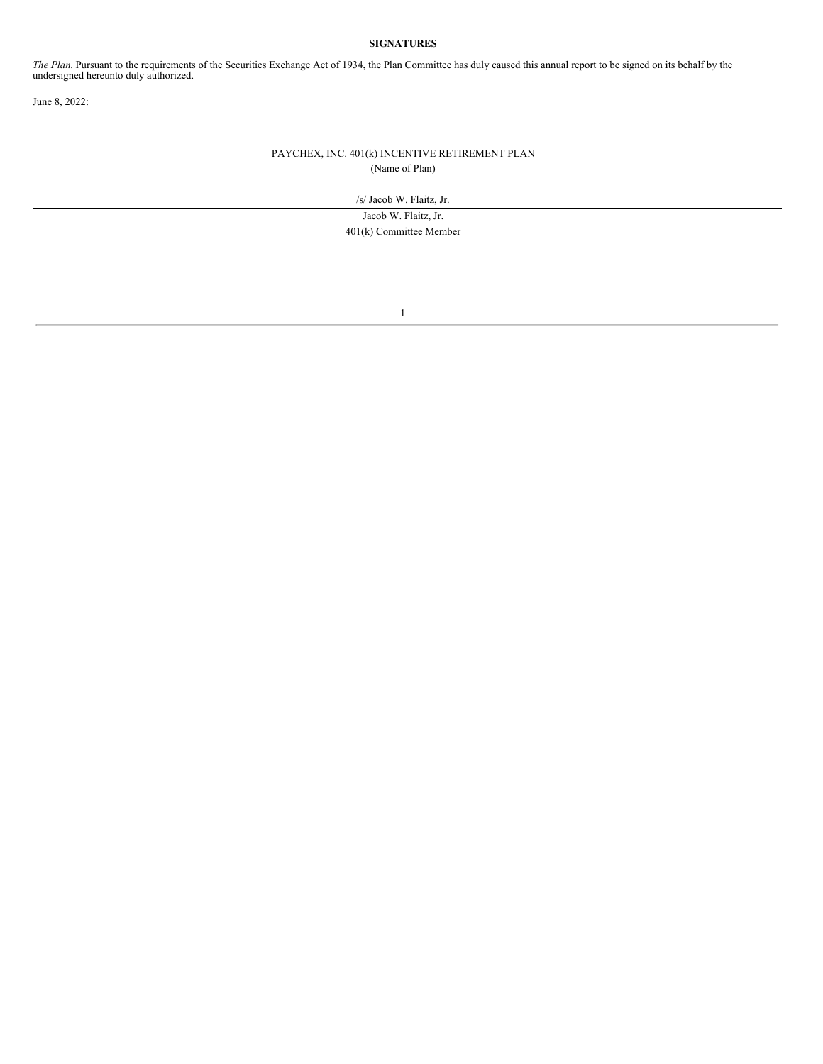# **SIGNATURES**

<span id="page-2-0"></span>*The Plan.* Pursuant to the requirements of the Securities Exchange Act of 1934, the Plan Committee has duly caused this annual report to be signed on its behalf by the undersigned hereunto duly authorized.

June 8, 2022:

# PAYCHEX, INC. 401(k) INCENTIVE RETIREMENT PLAN (Name of Plan)

/s/ Jacob W. Flaitz, Jr.

Jacob W. Flaitz, Jr. 401(k) Committee Member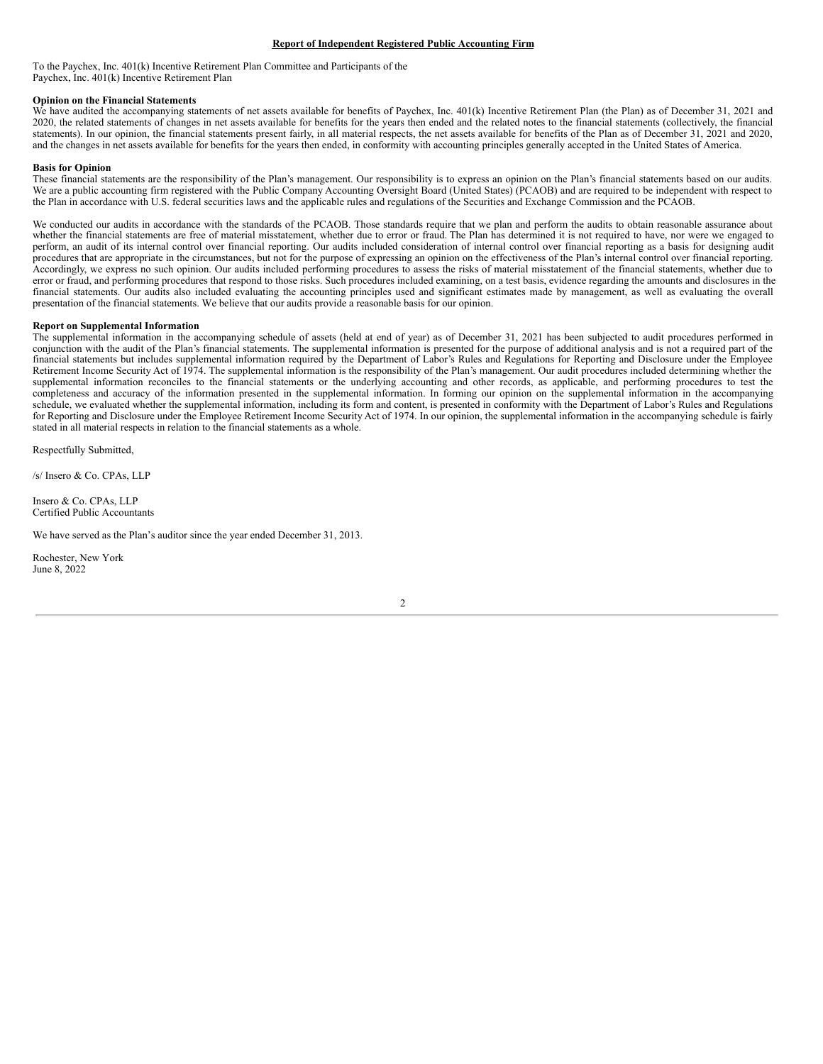#### <span id="page-3-0"></span>**Report of Independent Registered Public Accounting Firm**

To the Paychex, Inc. 401(k) Incentive Retirement Plan Committee and Participants of the Paychex, Inc. 401(k) Incentive Retirement Plan

#### **Opinion on the Financial Statements**

We have audited the accompanying statements of net assets available for benefits of Paychex, Inc. 401(k) Incentive Retirement Plan (the Plan) as of December 31, 2021 and 2020, the related statements of changes in net assets available for benefits for the years then ended and the related notes to the financial statements (collectively, the financial statements). In our opinion, the financial statements present fairly, in all material respects, the net assets available for benefits of the Plan as of December 31, 2021 and 2020, and the changes in net assets available for benefits for the years then ended, in conformity with accounting principles generally accepted in the United States of America.

#### **Basis for Opinion**

These financial statements are the responsibility of the Plan's management. Our responsibility is to express an opinion on the Plan's financial statements based on our audits. We are a public accounting firm registered with the Public Company Accounting Oversight Board (United States) (PCAOB) and are required to be independent with respect to the Plan in accordance with U.S. federal securities laws and the applicable rules and regulations of the Securities and Exchange Commission and the PCAOB.

We conducted our audits in accordance with the standards of the PCAOB. Those standards require that we plan and perform the audits to obtain reasonable assurance about whether the financial statements are free of material misstatement, whether due to error or fraud. The Plan has determined it is not required to have, nor were we engaged to perform, an audit of its internal control over financial reporting. Our audits included consideration of internal control over financial reporting as a basis for designing audit procedures that are appropriate in the circumstances, but not for the purpose of expressing an opinion on the effectiveness of the Plan's internal control over financial reporting. Accordingly, we express no such opinion. Our audits included performing procedures to assess the risks of material misstatement of the financial statements, whether due to error or fraud, and performing procedures that respond to those risks. Such procedures included examining, on a test basis, evidence regarding the amounts and disclosures in the financial statements. Our audits also included evaluating the accounting principles used and significant estimates made by management, as well as evaluating the overall presentation of the financial statements. We believe that our audits provide a reasonable basis for our opinion.

#### **Report on Supplemental Information**

The supplemental information in the accompanying schedule of assets (held at end of year) as of December 31, 2021 has been subjected to audit procedures performed in conjunction with the audit of the Plan's financial statements. The supplemental information is presented for the purpose of additional analysis and is not a required part of the financial statements but includes supplemental information required by the Department of Labor's Rules and Regulations for Reporting and Disclosure under the Employee Retirement Income Security Act of 1974. The supplemental information is the responsibility of the Plan's management. Our audit procedures included determining whether the supplemental information reconciles to the financial statements or the underlying accounting and other records, as applicable, and performing procedures to test the completeness and accuracy of the information presented in the supplemental information. In forming our opinion on the supplemental information in the accompanying schedule, we evaluated whether the supplemental information, including its form and content, is presented in conformity with the Department of Labor's Rules and Regulations for Reporting and Disclosure under the Employee Retirement Income Security Act of 1974. In our opinion, the supplemental information in the accompanying schedule is fairly stated in all material respects in relation to the financial statements as a whole.

Respectfully Submitted,

/s/ Insero & Co. CPAs, LLP

Insero & Co. CPAs, LLP Certified Public Accountants

We have served as the Plan's auditor since the year ended December 31, 2013.

Rochester, New York June 8, 2022

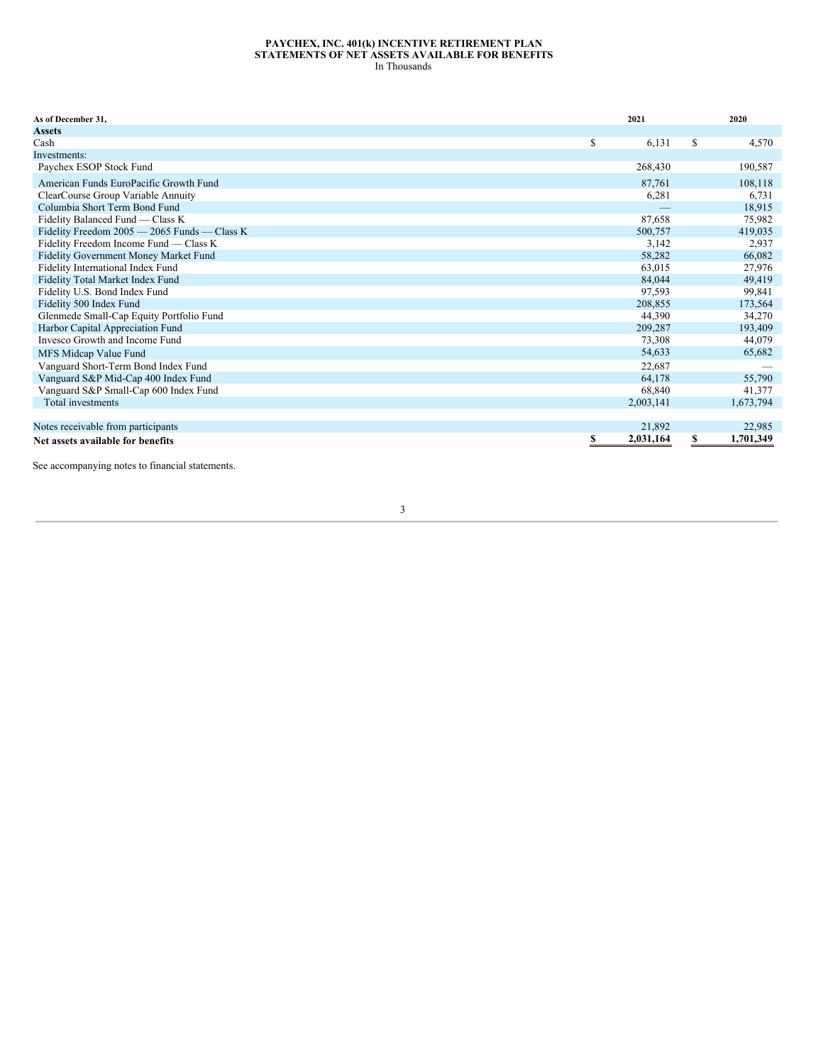#### **PAYCHEX, INC. 401(k) INCENTIVE RETIREMENT PLAN STATEMENTS OF NET ASSETS AVAILABLE FOR BENEFITS** In Thousands

<span id="page-4-0"></span>

| As of December 31,                           | 2021            | 2020            |
|----------------------------------------------|-----------------|-----------------|
| <b>Assets</b>                                |                 |                 |
| Cash                                         | \$<br>6,131     | \$<br>4,570     |
| Investments:                                 |                 |                 |
| Paychex ESOP Stock Fund                      | 268,430         | 190,587         |
| American Funds EuroPacific Growth Fund       | 87,761          | 108,118         |
| ClearCourse Group Variable Annuity           | 6,281           | 6,731           |
| Columbia Short Term Bond Fund                |                 | 18,915          |
| Fidelity Balanced Fund — Class K             | 87,658          | 75,982          |
| Fidelity Freedom 2005 - 2065 Funds - Class K | 500,757         | 419,035         |
| Fidelity Freedom Income Fund - Class K       | 3,142           | 2,937           |
| <b>Fidelity Government Money Market Fund</b> | 58,282          | 66,082          |
| Fidelity International Index Fund            | 63,015          | 27,976          |
| Fidelity Total Market Index Fund             | 84,044          | 49,419          |
| Fidelity U.S. Bond Index Fund                | 97,593          | 99,841          |
| Fidelity 500 Index Fund                      | 208,855         | 173,564         |
| Glenmede Small-Cap Equity Portfolio Fund     | 44,390          | 34,270          |
| Harbor Capital Appreciation Fund             | 209,287         | 193,409         |
| Invesco Growth and Income Fund               | 73,308          | 44,079          |
| MFS Midcap Value Fund                        | 54,633          | 65,682          |
| Vanguard Short-Term Bond Index Fund          | 22,687          |                 |
| Vanguard S&P Mid-Cap 400 Index Fund          | 64.178          | 55,790          |
| Vanguard S&P Small-Cap 600 Index Fund        | 68,840          | 41,377          |
| <b>Total investments</b>                     | 2,003,141       | 1,673,794       |
|                                              |                 |                 |
| Notes receivable from participants           | 21,892          | 22,985          |
| Net assets available for benefits            | \$<br>2,031,164 | \$<br>1,701,349 |

See accompanying notes to financial statements.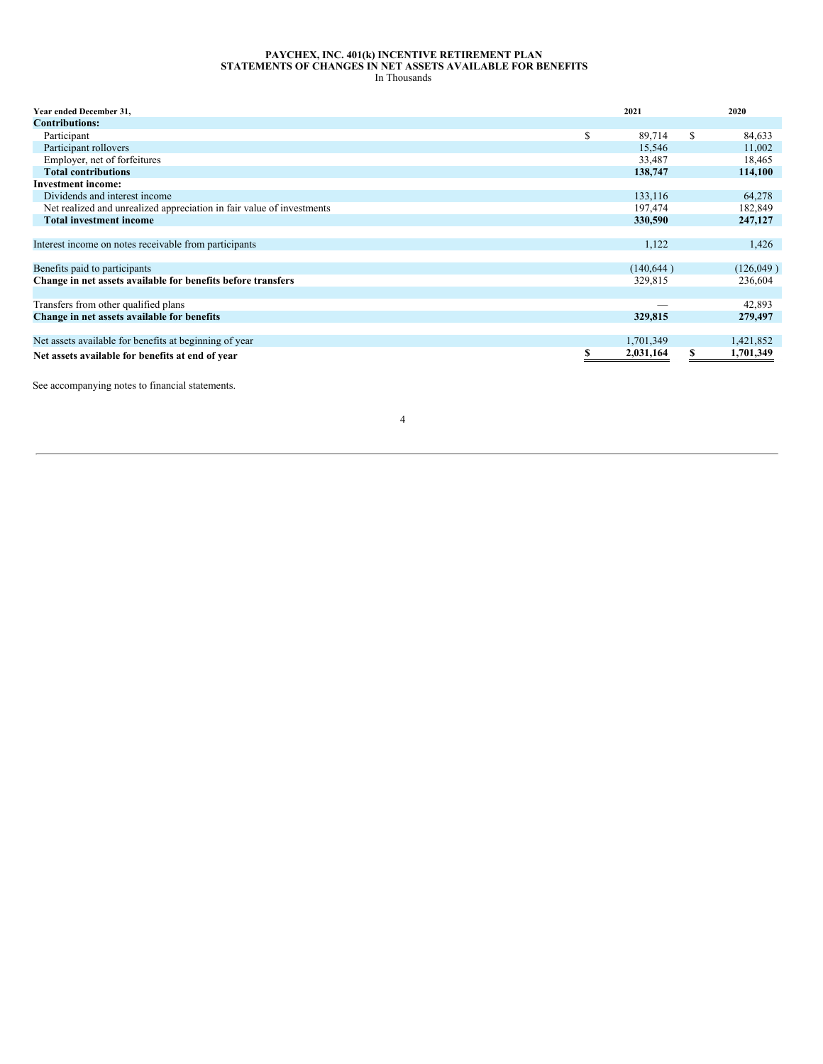#### **PAYCHEX, INC. 401(k) INCENTIVE RETIREMENT PLAN STATEMENTS OF CHANGES IN NET ASSETS AVAILABLE FOR BENEFITS** In Thousands

<span id="page-5-0"></span>

| Year ended December 31,                                               | 2021         | 2020         |
|-----------------------------------------------------------------------|--------------|--------------|
| <b>Contributions:</b>                                                 |              |              |
| Participant                                                           | \$<br>89,714 | \$<br>84,633 |
| Participant rollovers                                                 | 15,546       | 11,002       |
| Employer, net of forfeitures                                          | 33,487       | 18,465       |
| <b>Total contributions</b>                                            | 138,747      | 114,100      |
| <b>Investment income:</b>                                             |              |              |
| Dividends and interest income                                         | 133,116      | 64,278       |
| Net realized and unrealized appreciation in fair value of investments | 197,474      | 182,849      |
| <b>Total investment income</b>                                        | 330,590      | 247,127      |
|                                                                       |              |              |
| Interest income on notes receivable from participants                 | 1,122        | 1,426        |
|                                                                       |              |              |
| Benefits paid to participants                                         | (140, 644)   | (126,049)    |
| Change in net assets available for benefits before transfers          | 329,815      | 236,604      |
|                                                                       |              |              |
| Transfers from other qualified plans                                  |              | 42,893       |
| Change in net assets available for benefits                           | 329,815      | 279,497      |
|                                                                       |              |              |
| Net assets available for benefits at beginning of year                | 1,701,349    | 1,421,852    |
| Net assets available for benefits at end of year                      | 2,031,164    | 1,701,349    |

4

See accompanying notes to financial statements.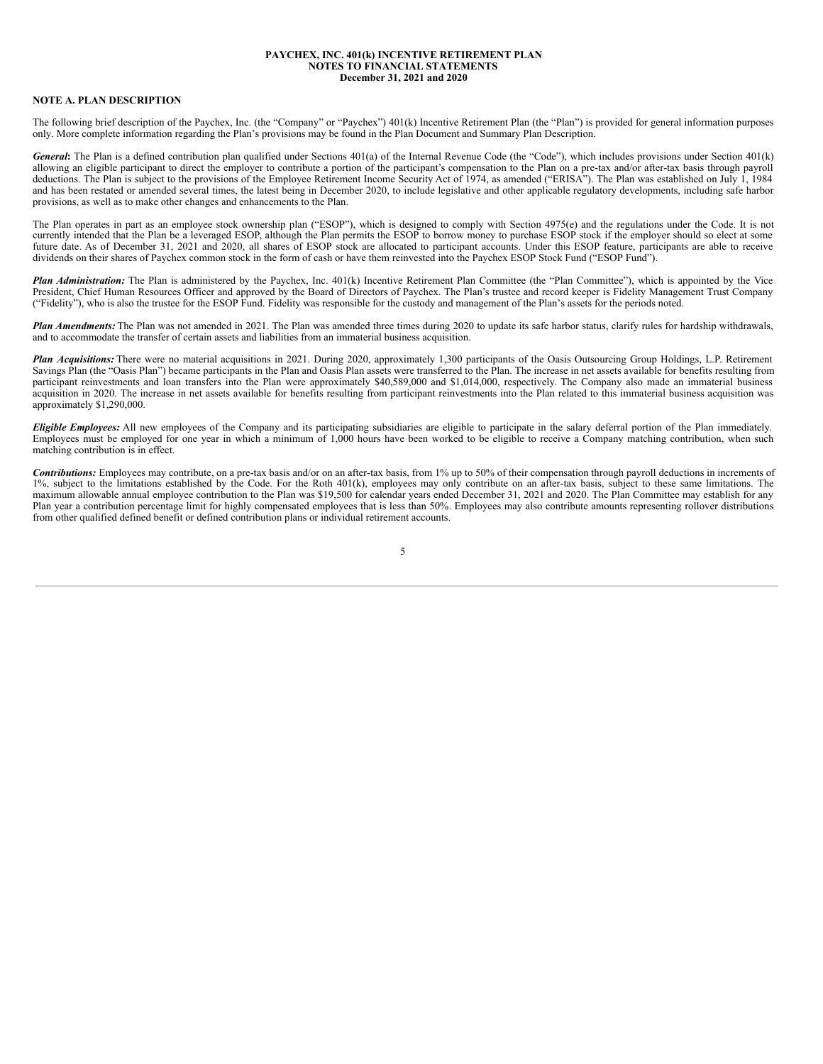#### <span id="page-6-0"></span>**PAYCHEX, INC. 401(k) INCENTIVE RETIREMENT PLAN NOTES TO FINANCIAL STATEMENTS December 31, 2021 and 2020**

#### **NOTE A. PLAN DESCRIPTION**

The following brief description of the Paychex, Inc. (the "Company" or "Paychex") 401(k) Incentive Retirement Plan (the "Plan") is provided for general information purposes only. More complete information regarding the Plan's provisions may be found in the Plan Document and Summary Plan Description.

*General***:** The Plan is a defined contribution plan qualified under Sections 401(a) of the Internal Revenue Code (the "Code"), which includes provisions under Section 401(k) allowing an eligible participant to direct the employer to contribute a portion of the participant's compensation to the Plan on a pre-tax and/or after-tax basis through payroll deductions. The Plan is subject to the provisions of the Employee Retirement Income Security Act of 1974, as amended ("ERISA"). The Plan was established on July 1, 1984 and has been restated or amended several times, the latest being in December 2020, to include legislative and other applicable regulatory developments, including safe harbor provisions, as well as to make other changes and enhancements to the Plan.

The Plan operates in part as an employee stock ownership plan ("ESOP"), which is designed to comply with Section 4975(e) and the regulations under the Code. It is not currently intended that the Plan be a leveraged ESOP, although the Plan permits the ESOP to borrow money to purchase ESOP stock if the employer should so elect at some future date. As of December 31, 2021 and 2020, all shares of ESOP stock are allocated to participant accounts. Under this ESOP feature, participants are able to receive dividends on their shares of Paychex common stock in the form of cash or have them reinvested into the Paychex ESOP Stock Fund ("ESOP Fund").

*Plan Administration:* The Plan is administered by the Paychex, Inc. 401(k) Incentive Retirement Plan Committee (the "Plan Committee"), which is appointed by the Vice President, Chief Human Resources Officer and approved by the Board of Directors of Paychex. The Plan's trustee and record keeper is Fidelity Management Trust Company ("Fidelity"), who is also the trustee for the ESOP Fund. Fidelity was responsible for the custody and management of the Plan's assets for the periods noted.

Plan Amendments: The Plan was not amended in 2021. The Plan was amended three times during 2020 to update its safe harbor status, clarify rules for hardship withdrawals, and to accommodate the transfer of certain assets and liabilities from an immaterial business acquisition.

*Plan Acquisitions:* There were no material acquisitions in 2021. During 2020, approximately 1,300 participants of the Oasis Outsourcing Group Holdings, L.P. Retirement Savings Plan (the "Oasis Plan") became participants in the Plan and Oasis Plan assets were transferred to the Plan. The increase in net assets available for benefits resulting from participant reinvestments and loan transfers into the Plan were approximately \$40,589,000 and \$1,014,000, respectively. The Company also made an immaterial business acquisition in 2020. The increase in net assets available for benefits resulting from participant reinvestments into the Plan related to this immaterial business acquisition was approximately \$1,290,000.

*Eligible Employees:* All new employees of the Company and its participating subsidiaries are eligible to participate in the salary deferral portion of the Plan immediately. Employees must be employed for one year in which a minimum of 1,000 hours have been worked to be eligible to receive a Company matching contribution, when such matching contribution is in effect.

*Contributions:* Employees may contribute, on a pre-tax basis and/or on an after-tax basis, from 1% up to 50% of their compensation through payroll deductions in increments of 1%, subject to the limitations established by the Code. For the Roth 401(k), employees may only contribute on an after-tax basis, subject to these same limitations. The maximum allowable annual employee contribution to the Plan was \$19,500 for calendar years ended December 31, 2021 and 2020. The Plan Committee may establish for any Plan year a contribution percentage limit for highly compensated employees that is less than 50%. Employees may also contribute amounts representing rollover distributions from other qualified defined benefit or defined contribution plans or individual retirement accounts.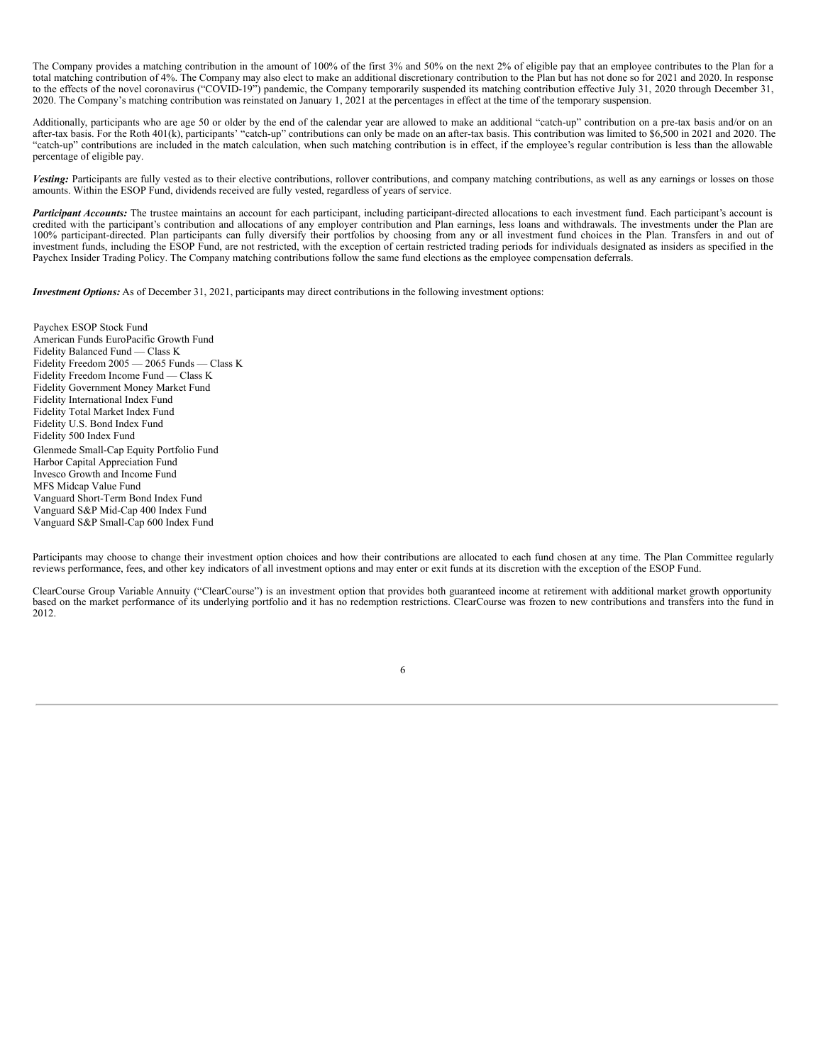The Company provides a matching contribution in the amount of 100% of the first 3% and 50% on the next 2% of eligible pay that an employee contributes to the Plan for a total matching contribution of 4%. The Company may also elect to make an additional discretionary contribution to the Plan but has not done so for 2021 and 2020. In response to the effects of the novel coronavirus ("COVID-19") pandemic, the Company temporarily suspended its matching contribution effective July 31, 2020 through December 31, 2020. The Company's matching contribution was reinstated on January 1, 2021 at the percentages in effect at the time of the temporary suspension.

Additionally, participants who are age 50 or older by the end of the calendar year are allowed to make an additional "catch-up" contribution on a pre-tax basis and/or on an after-tax basis. For the Roth 401(k), participants' "catch-up" contributions can only be made on an after-tax basis. This contribution was limited to \$6,500 in 2021 and 2020. The "catch-up" contributions are included in the match calculation, when such matching contribution is in effect, if the employee's regular contribution is less than the allowable percentage of eligible pay.

Vesting: Participants are fully vested as to their elective contributions, rollover contributions, and company matching contributions, as well as any earnings or losses on those amounts. Within the ESOP Fund, dividends received are fully vested, regardless of years of service.

*Participant Accounts:* The trustee maintains an account for each participant, including participant-directed allocations to each investment fund. Each participant's account is credited with the participant's contribution and allocations of any employer contribution and Plan earnings, less loans and withdrawals. The investments under the Plan are 100% participant-directed. Plan participants can fully diversify their portfolios by choosing from any or all investment fund choices in the Plan. Transfers in and out of investment funds, including the ESOP Fund, are not restricted, with the exception of certain restricted trading periods for individuals designated as insiders as specified in the Paychex Insider Trading Policy. The Company matching contributions follow the same fund elections as the employee compensation deferrals.

*Investment Options:* As of December 31, 2021, participants may direct contributions in the following investment options:

Paychex ESOP Stock Fund American Funds EuroPacific Growth Fund Fidelity Balanced Fund — Class K Fidelity Freedom 2005 — 2065 Funds — Class K Fidelity Freedom Income Fund — Class K Fidelity Government Money Market Fund Fidelity International Index Fund Fidelity Total Market Index Fund Fidelity U.S. Bond Index Fund Fidelity 500 Index Fund Glenmede Small-Cap Equity Portfolio Fund Harbor Capital Appreciation Fund Invesco Growth and Income Fund MFS Midcap Value Fund Vanguard Short-Term Bond Index Fund Vanguard S&P Mid-Cap 400 Index Fund Vanguard S&P Small-Cap 600 Index Fund

Participants may choose to change their investment option choices and how their contributions are allocated to each fund chosen at any time. The Plan Committee regularly reviews performance, fees, and other key indicators of all investment options and may enter or exit funds at its discretion with the exception of the ESOP Fund.

ClearCourse Group Variable Annuity ("ClearCourse") is an investment option that provides both guaranteed income at retirement with additional market growth opportunity based on the market performance of its underlying portfolio and it has no redemption restrictions. ClearCourse was frozen to new contributions and transfers into the fund in 2012.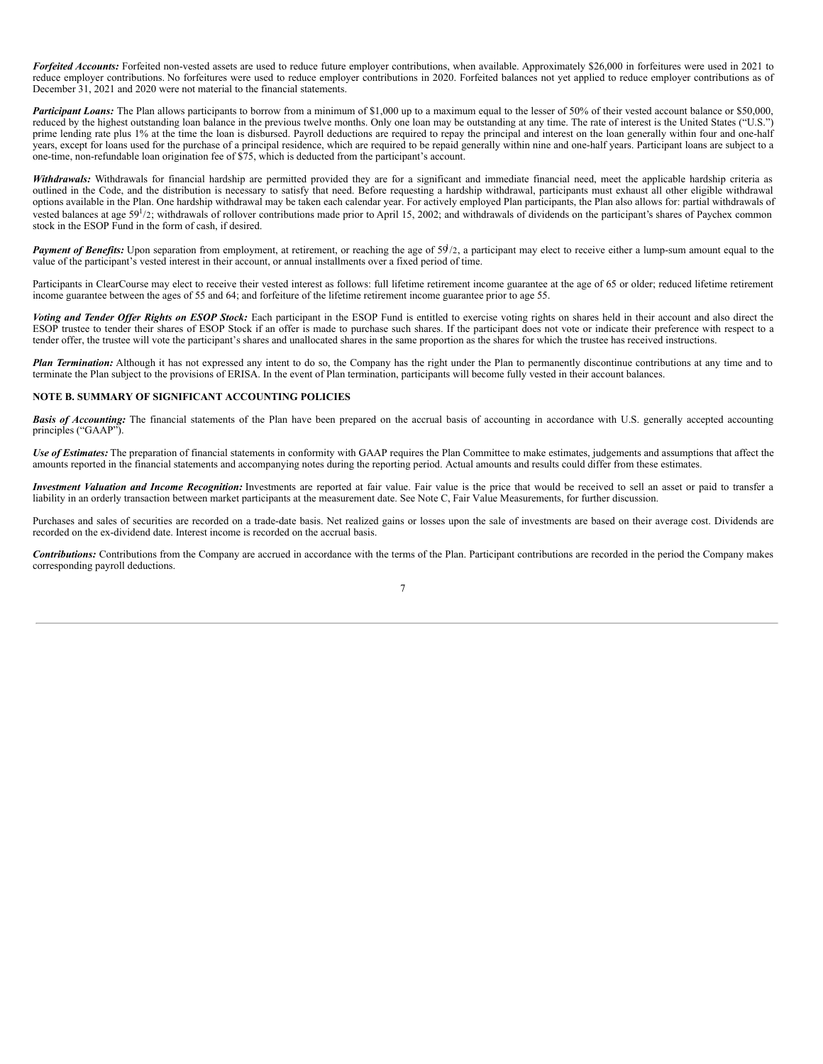*Forfeited Accounts:* Forfeited non-vested assets are used to reduce future employer contributions, when available. Approximately \$26,000 in forfeitures were used in 2021 to reduce employer contributions. No forfeitures were used to reduce employer contributions in 2020. Forfeited balances not yet applied to reduce employer contributions as of December 31, 2021 and 2020 were not material to the financial statements.

Participant Loans: The Plan allows participants to borrow from a minimum of \$1,000 up to a maximum equal to the lesser of 50% of their vested account balance or \$50,000, reduced by the highest outstanding loan balance in the previous twelve months. Only one loan may be outstanding at any time. The rate of interest is the United States ("U.S.") prime lending rate plus 1% at the time the loan is disbursed. Payroll deductions are required to repay the principal and interest on the loan generally within four and one-half years, except for loans used for the purchase of a principal residence, which are required to be repaid generally within nine and one-half years. Participant loans are subject to a one-time, non-refundable loan origination fee of \$75, which is deducted from the participant's account.

*Withdrawals:* Withdrawals for financial hardship are permitted provided they are for a significant and immediate financial need, meet the applicable hardship criteria as outlined in the Code, and the distribution is necessary to satisfy that need. Before requesting a hardship withdrawal, participants must exhaust all other eligible withdrawal options available in the Plan. One hardship withdrawal may be taken each calendar year. For actively employed Plan participants, the Plan also allows for: partial withdrawals of vested balances at age  $59<sup>1</sup>/2$ ; withdrawals of rollover contributions made prior to April 15, 2002; and withdrawals of dividends on the participant's shares of Paychex common stock in the ESOP Fund in the form of cash, if desired.

Payment of Benefits: Upon separation from employment, at retirement, or reaching the age of  $59/2$ , a participant may elect to receive either a lump-sum amount equal to the value of the participant's vested interest in their account, or annual installments over a fixed period of time.

Participants in ClearCourse may elect to receive their vested interest as follows: full lifetime retirement income guarantee at the age of 65 or older; reduced lifetime retirement income guarantee between the ages of 55 and 64; and forfeiture of the lifetime retirement income guarantee prior to age 55.

Voting and Tender Offer Rights on ESOP Stock: Each participant in the ESOP Fund is entitled to exercise voting rights on shares held in their account and also direct the ESOP trustee to tender their shares of ESOP Stock if an offer is made to purchase such shares. If the participant does not vote or indicate their preference with respect to a tender offer, the trustee will vote the participant's shares and unallocated shares in the same proportion as the shares for which the trustee has received instructions.

*Plan Termination:* Although it has not expressed any intent to do so, the Company has the right under the Plan to permanently discontinue contributions at any time and to terminate the Plan subject to the provisions of ERISA. In the event of Plan termination, participants will become fully vested in their account balances.

#### **NOTE B. SUMMARY OF SIGNIFICANT ACCOUNTING POLICIES**

**Basis of Accounting:** The financial statements of the Plan have been prepared on the accrual basis of accounting in accordance with U.S. generally accepted accounting principles ("GAAP").

Use of Estimates: The preparation of financial statements in conformity with GAAP requires the Plan Committee to make estimates, judgements and assumptions that affect the amounts reported in the financial statements and accompanying notes during the reporting period. Actual amounts and results could differ from these estimates.

*Investment Valuation and Income Recognition:* Investments are reported at fair value. Fair value is the price that would be received to sell an asset or paid to transfer a liability in an orderly transaction between market participants at the measurement date. See Note C, Fair Value Measurements, for further discussion.

Purchases and sales of securities are recorded on a trade-date basis. Net realized gains or losses upon the sale of investments are based on their average cost. Dividends are recorded on the ex-dividend date. Interest income is recorded on the accrual basis.

*Contributions:* Contributions from the Company are accrued in accordance with the terms of the Plan. Participant contributions are recorded in the period the Company makes corresponding payroll deductions.

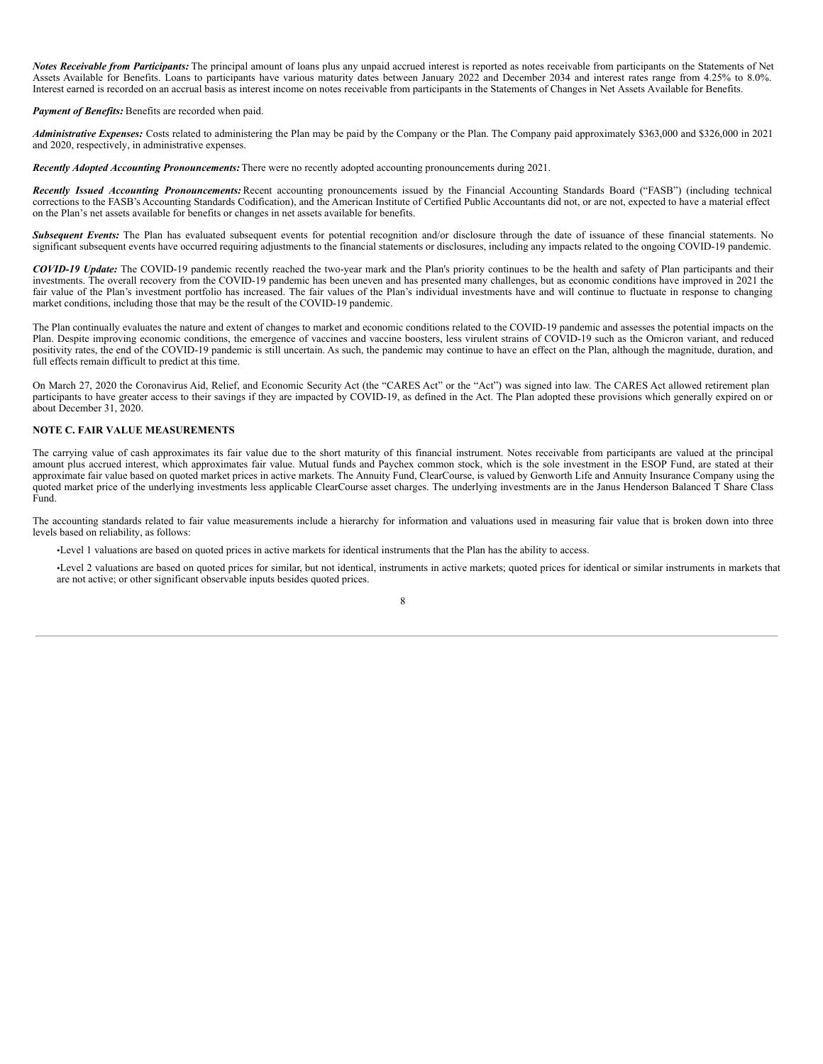*Notes Receivable from Participants:* The principal amount of loans plus any unpaid accrued interest is reported as notes receivable from participants on the Statements of Net Assets Available for Benefits. Loans to participants have various maturity dates between January 2022 and December 2034 and interest rates range from 4.25% to 8.0%. Interest earned is recorded on an accrual basis as interest income on notes receivable from participants in the Statements of Changes in Net Assets Available for Benefits.

#### *Payment of Benefits:* Benefits are recorded when paid.

*Administrative Expenses:* Costs related to administering the Plan may be paid by the Company or the Plan. The Company paid approximately \$363,000 and \$326,000 in 2021 and 2020, respectively, in administrative expenses.

*Recently Adopted Accounting Pronouncements:*There were no recently adopted accounting pronouncements during 2021.

*Recently Issued Accounting Pronouncements:* Recent accounting pronouncements issued by the Financial Accounting Standards Board ("FASB") (including technical corrections to the FASB's Accounting Standards Codification), and the American Institute of Certified Public Accountants did not, or are not, expected to have a material effect on the Plan's net assets available for benefits or changes in net assets available for benefits.

Subsequent Events: The Plan has evaluated subsequent events for potential recognition and/or disclosure through the date of issuance of these financial statements. No significant subsequent events have occurred requiring adjustments to the financial statements or disclosures, including any impacts related to the ongoing COVID-19 pandemic.

*COVID-19 Update:* The COVID-19 pandemic recently reached the two-year mark and the Plan's priority continues to be the health and safety of Plan participants and their investments. The overall recovery from the COVID-19 pandemic has been uneven and has presented many challenges, but as economic conditions have improved in 2021 the fair value of the Plan's investment portfolio has increased. The fair values of the Plan's individual investments have and will continue to fluctuate in response to changing market conditions, including those that may be the result of the COVID-19 pandemic.

The Plan continually evaluates the nature and extent of changes to market and economic conditions related to the COVID-19 pandemic and assesses the potential impacts on the Plan. Despite improving economic conditions, the emergence of vaccines and vaccine boosters, less virulent strains of COVID-19 such as the Omicron variant, and reduced positivity rates, the end of the COVID-19 pandemic is still uncertain. As such, the pandemic may continue to have an effect on the Plan, although the magnitude, duration, and full effects remain difficult to predict at this time.

On March 27, 2020 the Coronavirus Aid, Relief, and Economic Security Act (the "CARES Act" or the "Act") was signed into law. The CARES Act allowed retirement plan participants to have greater access to their savings if they are impacted by COVID-19, as defined in the Act. The Plan adopted these provisions which generally expired on or about December 31, 2020.

#### **NOTE C. FAIR VALUE MEASUREMENTS**

The carrying value of cash approximates its fair value due to the short maturity of this financial instrument. Notes receivable from participants are valued at the principal amount plus accrued interest, which approximates fair value. Mutual funds and Paychex common stock, which is the sole investment in the ESOP Fund, are stated at their approximate fair value based on quoted market prices in active markets. The Annuity Fund, ClearCourse, is valued by Genworth Life and Annuity Insurance Company using the quoted market price of the underlying investments less applicable ClearCourse asset charges. The underlying investments are in the Janus Henderson Balanced T Share Class Fund.

The accounting standards related to fair value measurements include a hierarchy for information and valuations used in measuring fair value that is broken down into three levels based on reliability, as follows:

•Level 1 valuations are based on quoted prices in active markets for identical instruments that the Plan has the ability to access.

•Level 2 valuations are based on quoted prices for similar, but not identical, instruments in active markets; quoted prices for identical or similar instruments in markets that are not active; or other significant observable inputs besides quoted prices.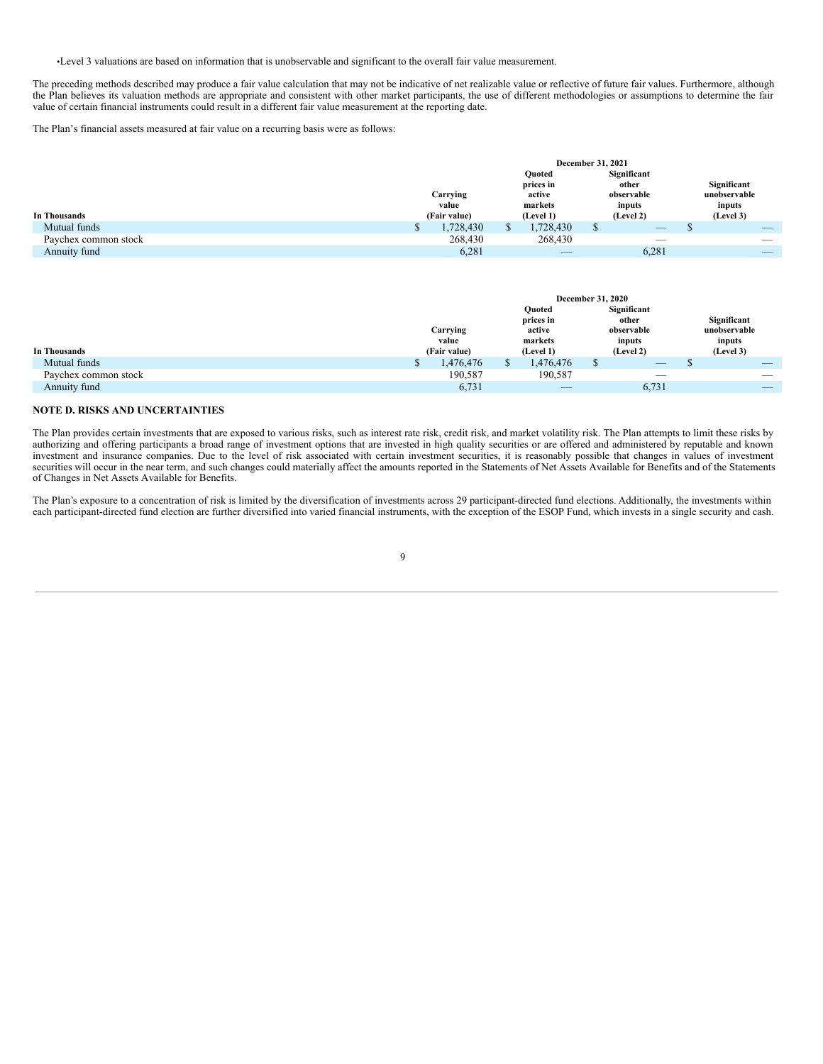•Level 3 valuations are based on information that is unobservable and significant to the overall fair value measurement.

The preceding methods described may produce a fair value calculation that may not be indicative of net realizable value or reflective of future fair values. Furthermore, although the Plan believes its valuation methods are appropriate and consistent with other market participants, the use of different methodologies or assumptions to determine the fair value of certain financial instruments could result in a different fair value measurement at the reporting date.

The Plan's financial assets measured at fair value on a recurring basis were as follows:

|                      | December 31, 2021 |                                   |   |                                |   |                                   |  |                                     |
|----------------------|-------------------|-----------------------------------|---|--------------------------------|---|-----------------------------------|--|-------------------------------------|
|                      |                   |                                   |   | <b>Ouoted</b><br>prices in     |   | Significant<br>other              |  | Significant                         |
| In Thousands         |                   | Carrying<br>value<br>(Fair value) |   | active<br>markets<br>(Level 1) |   | observable<br>inputs<br>(Level 2) |  | unobservable<br>inputs<br>(Level 3) |
|                      |                   |                                   |   |                                |   |                                   |  |                                     |
| Mutual funds         |                   | 1,728,430                         | D | 1,728,430                      | S | $\hspace{0.1mm}-\hspace{0.1mm}$   |  | $\overline{\phantom{a}}$            |
| Paychex common stock |                   | 268,430                           |   | 268,430                        |   | $\overline{\phantom{a}}$          |  | $\overline{\phantom{a}}$            |
| Annuity fund         |                   | 6,281                             |   | $\qquad \qquad - \qquad$       |   | 6.281                             |  | $\overline{\phantom{a}}$            |

|                      |                 | <b>December 31, 2020</b>       |                                |                          |  |
|----------------------|-----------------|--------------------------------|--------------------------------|--------------------------|--|
|                      |                 | <b>Ouoted</b>                  | Significant                    |                          |  |
|                      |                 | prices in                      | other                          | Significant              |  |
|                      | Carrying        | active                         | observable                     | unobservable             |  |
|                      | value           | markets                        | inputs                         | inputs                   |  |
| In Thousands         | (Fair value)    | (Level 1)                      | (Level 2)                      | (Level 3)                |  |
| Mutual funds         | 1,476,476<br>۵D | 1,476,476                      | $\overbrace{\hspace{25mm}}^{}$ | $\overline{\phantom{a}}$ |  |
| Paychex common stock | 190,587         | 190,587                        | $\sim$                         | $\overline{\phantom{a}}$ |  |
| Annuity fund         | 6,731           | $\overbrace{\hspace{25mm}}^{}$ | 6.731                          | $\qquad \qquad - \qquad$ |  |

#### **NOTE D. RISKS AND UNCERTAINTIES**

The Plan provides certain investments that are exposed to various risks, such as interest rate risk, credit risk, and market volatility risk. The Plan attempts to limit these risks by authorizing and offering participants a broad range of investment options that are invested in high quality securities or are offered and administered by reputable and known investment and insurance companies. Due to the level of risk associated with certain investment securities, it is reasonably possible that changes in values of investment securities will occur in the near term, and such changes could materially affect the amounts reported in the Statements of Net Assets Available for Benefits and of the Statements of Changes in Net Assets Available for Benefits.

The Plan's exposure to a concentration of risk is limited by the diversification of investments across 29 participant-directed fund elections. Additionally, the investments within each participant-directed fund election are further diversified into varied financial instruments, with the exception of the ESOP Fund, which invests in a single security and cash.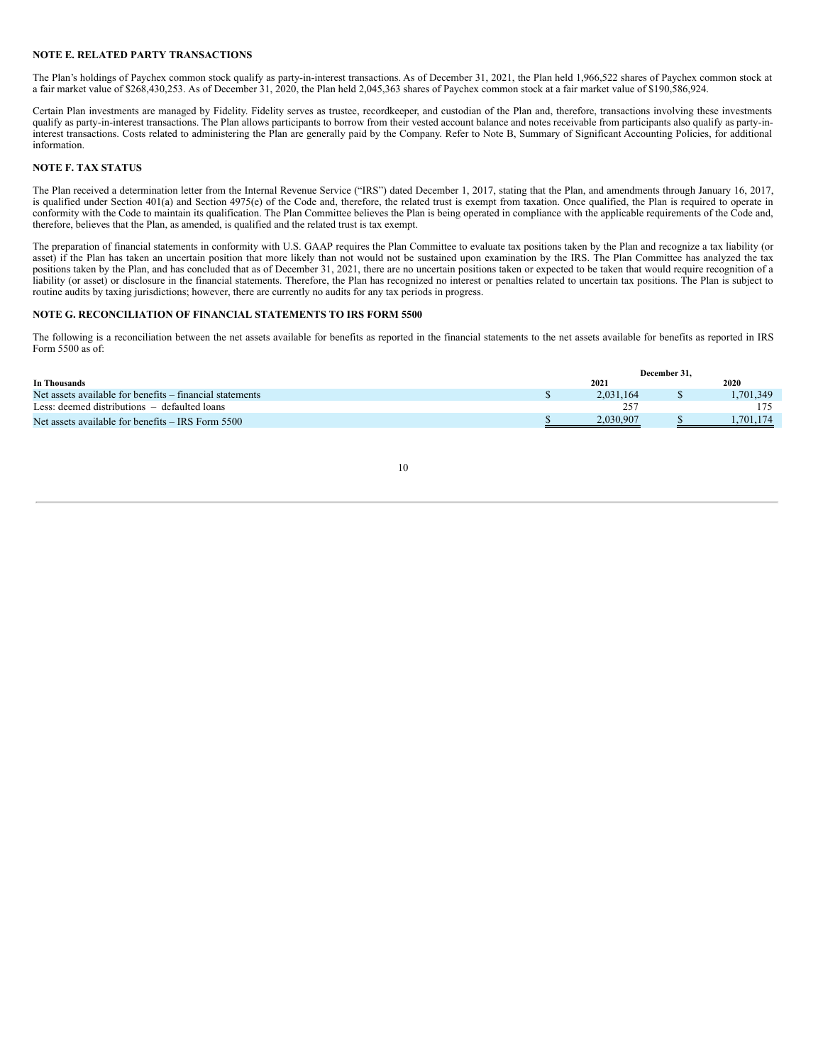#### **NOTE E. RELATED PARTY TRANSACTIONS**

The Plan's holdings of Paychex common stock qualify as party-in-interest transactions. As of December 31, 2021, the Plan held 1,966,522 shares of Paychex common stock at a fair market value of \$268,430,253. As of December 31, 2020, the Plan held 2,045,363 shares of Paychex common stock at a fair market value of \$190,586,924.

Certain Plan investments are managed by Fidelity. Fidelity serves as trustee, recordkeeper, and custodian of the Plan and, therefore, transactions involving these investments qualify as party-in-interest transactions. The Plan allows participants to borrow from their vested account balance and notes receivable from participants also qualify as party-ininterest transactions. Costs related to administering the Plan are generally paid by the Company. Refer to Note B, Summary of Significant Accounting Policies, for additional information.

#### **NOTE F. TAX STATUS**

The Plan received a determination letter from the Internal Revenue Service ("IRS") dated December 1, 2017, stating that the Plan, and amendments through January 16, 2017, is qualified under Section 401(a) and Section 4975(e) of the Code and, therefore, the related trust is exempt from taxation. Once qualified, the Plan is required to operate in conformity with the Code to maintain its qualification. The Plan Committee believes the Plan is being operated in compliance with the applicable requirements of the Code and, therefore, believes that the Plan, as amended, is qualified and the related trust is tax exempt.

The preparation of financial statements in conformity with U.S. GAAP requires the Plan Committee to evaluate tax positions taken by the Plan and recognize a tax liability (or asset) if the Plan has taken an uncertain position that more likely than not would not be sustained upon examination by the IRS. The Plan Committee has analyzed the tax positions taken by the Plan, and has concluded that as of December 31, 2021, there are no uncertain positions taken or expected to be taken that would require recognition of a liability (or asset) or disclosure in the financial statements. Therefore, the Plan has recognized no interest or penalties related to uncertain tax positions. The Plan is subject to routine audits by taxing jurisdictions; however, there are currently no audits for any tax periods in progress.

#### **NOTE G. RECONCILIATION OF FINANCIAL STATEMENTS TO IRS FORM 5500**

The following is a reconciliation between the net assets available for benefits as reported in the financial statements to the net assets available for benefits as reported in IRS Form 5500 as of:

|                                                          | December 31. |           |  |          |
|----------------------------------------------------------|--------------|-----------|--|----------|
| In Thousands                                             |              | 2021      |  | 2020     |
| Net assets available for benefits – financial statements |              | 2.031.164 |  | .701.349 |
| Less: deemed distributions $-$ defaulted loans           |              | 257       |  |          |
| Net assets available for benefits – IRS Form 5500        |              | 2.030.907 |  | 701.174  |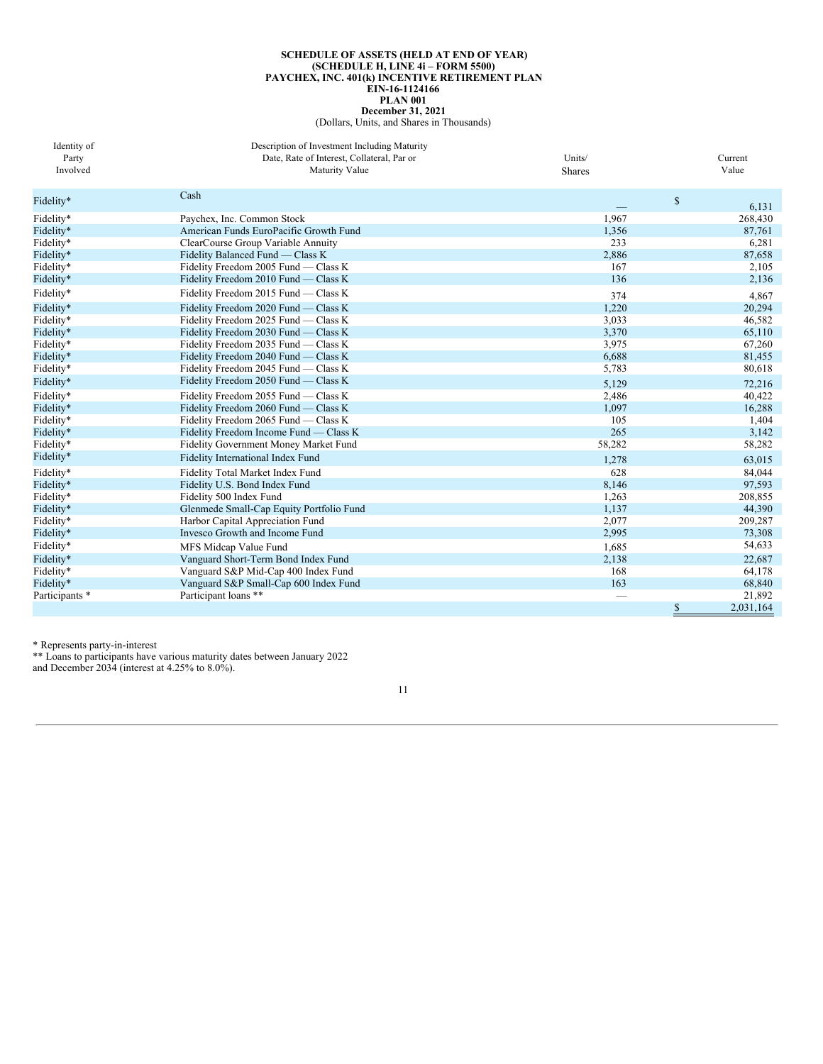#### <span id="page-12-0"></span>**SCHEDULE OF ASSETS (HELD AT END OF YEAR) (SCHEDULE H, LINE 4i – FORM 5500) PAYCHEX, INC. 401(k) INCENTIVE RETIREMENT PLAN EIN-16-1124166 PLAN 001 December 31, 2021** (Dollars, Units, and Shares in Thousands)

| Identity of<br>Party<br>Involved | Description of Investment Including Maturity<br>Date, Rate of Interest, Collateral, Par or<br>Maturity Value | Units/<br><b>Shares</b> | Current<br>Value                      |
|----------------------------------|--------------------------------------------------------------------------------------------------------------|-------------------------|---------------------------------------|
| Fidelity*                        | Cash                                                                                                         |                         | $\mathbb{S}$<br>6,131                 |
| Fidelity*                        | Paychex, Inc. Common Stock                                                                                   | 1,967                   | 268,430                               |
| Fidelity*                        | American Funds EuroPacific Growth Fund                                                                       | 1,356                   | 87,761                                |
| Fidelity*                        | ClearCourse Group Variable Annuity                                                                           | 233                     | 6,281                                 |
| Fidelity*                        | Fidelity Balanced Fund — Class K                                                                             | 2,886                   | 87,658                                |
| Fidelity*                        | Fidelity Freedom 2005 Fund - Class K                                                                         | 167                     | 2,105                                 |
| Fidelity*                        | Fidelity Freedom 2010 Fund - Class K                                                                         | 136                     | 2,136                                 |
| Fidelity*                        | Fidelity Freedom 2015 Fund - Class K                                                                         | 374                     | 4,867                                 |
| Fidelity*                        | Fidelity Freedom 2020 Fund — Class K                                                                         | 1,220                   | 20,294                                |
| Fidelity*                        | Fidelity Freedom 2025 Fund - Class K                                                                         | 3,033                   | 46,582                                |
| Fidelity*                        | Fidelity Freedom 2030 Fund - Class K                                                                         | 3,370                   | 65,110                                |
| Fidelity*                        | Fidelity Freedom 2035 Fund - Class K                                                                         | 3,975                   | 67,260                                |
| Fidelity*                        | Fidelity Freedom 2040 Fund — Class K                                                                         | 6,688                   | 81,455                                |
| Fidelity*                        | Fidelity Freedom 2045 Fund - Class K                                                                         | 5,783                   | 80,618                                |
| Fidelity*                        | Fidelity Freedom 2050 Fund - Class K                                                                         | 5,129                   | 72,216                                |
| Fidelity*                        | Fidelity Freedom 2055 Fund - Class K                                                                         | 2,486                   | 40,422                                |
| Fidelity*                        | Fidelity Freedom 2060 Fund - Class K                                                                         | 1,097                   | 16,288                                |
| Fidelity*                        | Fidelity Freedom 2065 Fund — Class K                                                                         | 105                     | 1,404                                 |
| Fidelity*                        | Fidelity Freedom Income Fund - Class K                                                                       | 265                     | 3,142                                 |
| Fidelity*                        | Fidelity Government Money Market Fund                                                                        | 58,282                  | 58,282                                |
| Fidelity*                        | Fidelity International Index Fund                                                                            | 1,278                   | 63,015                                |
| Fidelity*                        | Fidelity Total Market Index Fund                                                                             | 628                     | 84,044                                |
| Fidelity*                        | Fidelity U.S. Bond Index Fund                                                                                | 8,146                   | 97,593                                |
| Fidelity*                        | Fidelity 500 Index Fund                                                                                      | 1,263                   | 208,855                               |
| Fidelity*                        | Glenmede Small-Cap Equity Portfolio Fund                                                                     | 1,137                   | 44,390                                |
| Fidelity*                        | Harbor Capital Appreciation Fund                                                                             | 2,077                   | 209,287                               |
| Fidelity*                        | Invesco Growth and Income Fund                                                                               | 2,995                   | 73,308                                |
| Fidelity*                        | MFS Midcap Value Fund                                                                                        | 1,685                   | 54,633                                |
| Fidelity*                        | Vanguard Short-Term Bond Index Fund                                                                          | 2,138                   | 22,687                                |
| Fidelity*                        | Vanguard S&P Mid-Cap 400 Index Fund                                                                          | 168                     | 64,178                                |
| Fidelity*                        | Vanguard S&P Small-Cap 600 Index Fund                                                                        | 163                     | 68,840                                |
| Participants *                   | Participant loans **                                                                                         |                         | 21,892                                |
|                                  |                                                                                                              |                         | $\overline{\mathcal{L}}$<br>2,031,164 |

\* Represents party-in-interest

\*\* Loans to participants have various maturity dates between January 2022 and December 2034 (interest at 4.25% to 8.0%).